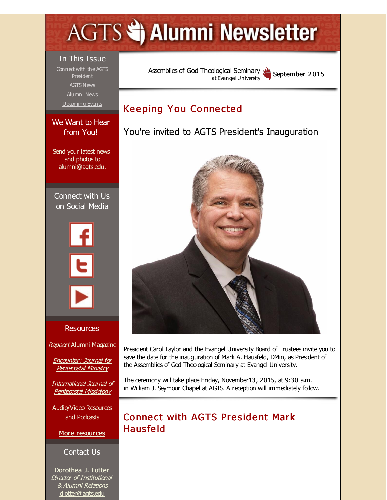# <span id="page-0-0"></span>**AGTS Statement Newsletter**

#### In This Issue

Connect with the AGTS **[President](#page-0-0)** [AGTS](#page-0-0) News [Alumni](#page-0-0) News [Upcoming](#page-0-0) Events

#### We Want to Hear from You!

Send your latest news and photos to [alumni@agts.edu](mailto:alumni@agts.edu).

Connect with Us on Social Media



#### Resources

[Rapport](http://r20.rs6.net/tn.jsp?f=001WRO7DRcx3YHN6-4kY7G6J4GBI8FbgDtiNnH4nC-EDLp_PIK3Tq5pctMhM4xq0bQ53w3bRqreMcUiH9njtSn0gRx_YbyBKGxQx4dyvBl3ekRIU0AmYvR936tJrN-d9c3xr2K5Zjx2DL8XCeIbcHV9mhpZw2-bdynMSNSTcH6PEgIqZb1h3ekstWzTk8aa6wOT&c=&ch=) Alumni Magazine

Encounter: Journal for [Pentecostal](http://r20.rs6.net/tn.jsp?f=001WRO7DRcx3YHN6-4kY7G6J4GBI8FbgDtiNnH4nC-EDLp_PIK3Tq5pcvUN-k4QcAgWJOdawTKT96viRK7JxZZSJcC_bw22dMm8g99Id-6IW2dVBFxj0zMSXzoHyd1YfPqa2hNl-WhGztpXIVq7a4MsIgWJqOdRSnduVreyoR-a-CMGk6h21MgRx0y7DhyDT2QQ&c=&ch=) Ministry

[International](http://r20.rs6.net/tn.jsp?f=001WRO7DRcx3YHN6-4kY7G6J4GBI8FbgDtiNnH4nC-EDLp_PIK3Tq5pcrsUPCQAEE2VcAcJM0_nOgCiRSewwhQXw3m55c7yZHe7ld8fQ609SPNT6OWno1zh9Z_9KIq4bPbcKmWY53GYf6T9pu-ML_l6t3HfYy4ee55o6bj32NEIL8zwv4G2aSnzjFK4R9cs-aow&c=&ch=) Journal of Pentecostal Missiology

[Audio/Video](http://r20.rs6.net/tn.jsp?f=001WRO7DRcx3YHN6-4kY7G6J4GBI8FbgDtiNnH4nC-EDLp_PIK3Tq5pcv2gLnyDOjZKln0PZWYSX735B2mlOsro08-zDlIUIZAZXv9jx7cVDuwW_2jV6KvZhPBhbwIkZHlGOnETVGfUj-qcBq5FE3JobhOIC_hynA-HIx4Vkpm9-6IP8miUeBnidBlftZJsd8gJ&c=&ch=) Resources and Podcasts

More [resources](http://r20.rs6.net/tn.jsp?f=001WRO7DRcx3YHN6-4kY7G6J4GBI8FbgDtiNnH4nC-EDLp_PIK3Tq5pcmlEJSxw4ll3Da-PeYYwgJ64gJIA0xPoZGnf2VSHxCSqkZFxhYIfJstk3BBNJUYWbGnWssSLfPSZVdxcyQvtB0wOOhia3pCtE4D1u-XFqLSo45qBy_O2JB-bE9XqDkk0-1dmIaAYxv09ajexDCEngXI=&c=&ch=)

#### Contact Us

Dorothea J. Lotter Director of Institutional & Alumni Relations [dlotter@agts.edu](mailto:dlotter@agts.edu)

Assemblies of God [Theological](http://r20.rs6.net/tn.jsp?f=001WRO7DRcx3YHN6-4kY7G6J4GBI8FbgDtiNnH4nC-EDLp_PIK3Tq5pcgBVEfaKabJU83GbV3jioM5zNl_s53KBxNe3s7iqg163JV7TutqGEuiIZYHAzhSagHA152-CZKLLiuZtUhAdYANKWiRJkCZh9Z1VtgtqHP9S&c=&ch=) Seminary at Evangel University September 2015

## **Keeping You Connected**

You're invited to AGTS President's Inauguration



President Carol Taylor and the Evangel University Board of Trustees invite you to save the date for the inauguration of Mark A. Hausfeld, DMin, as President of the Assemblies of God Theological Seminary at Evangel University.

The ceremony will take place Friday, November13, 2015, at 9:30 a.m. in William J. Seymour Chapel at AGTS. A reception will immediately follow.

# Connect with AGTS President Mark Haus fe ld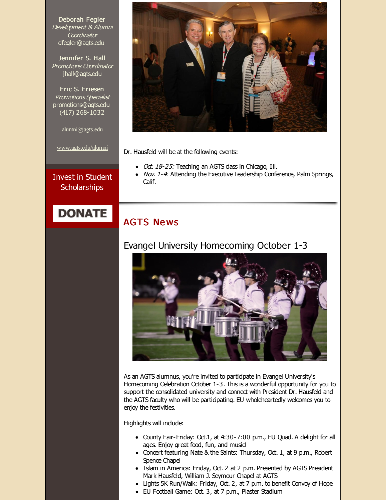Deborah Fegler Development & Alumni **Coordinator** [dfegler@agts.edu](mailto:dfegler@agts.edu)

Jennifer S. Hall Promotions Coordinator [jhall@agts.edu](mailto:jhall@agts.edu)

Eric S. Friesen Promotions Specialist [promotions@agts.edu](mailto:promotions@agts.edu) (417) 268-1032

[alumni@agts.edu](mailto:alumni@agts.edu)

[www.agts.edu/alumni](http://r20.rs6.net/tn.jsp?f=001WRO7DRcx3YHN6-4kY7G6J4GBI8FbgDtiNnH4nC-EDLp_PIK3Tq5pcmtR3YGNhRlXqpI8PmZs7rJh4R9T4t3AM731QnGyVTHo3_qeVvvgpjFJHF5rIYmePJhwsI61PbzsSFUTQQkanvox0iPGDt0IdQNFwgzYey_UJWzDIt6RdegsOvOmaSChlw==&c=&ch=)

Invest in Student **Scholarships** 

Dr. Hausfeld will be at the following events:

- $\bullet$  Oct. 18-25: Teaching an AGTS dass in Chicago, Ill.
- Nov. 1-4: Attending the Executive Leadership Conference, Palm Springs, Calif.

# **DONATE**

#### **AGTS News**

#### Evangel University Homecoming October 1-3



As an AGTS alumnus, you're invited to participate in Evangel University's Homecoming Celebration October 1-3. This is a wonderful opportunity for you to support the consolidated university and connect with President Dr. Hausfeld and the AGTS faculty who will be participating. EU wholeheartedly welcomes you to enjoy the festivities.

Highlights will indude:

- County Fair-Friday: Oct.1, at 4:30-7:00 p.m., EU Quad. A delight for all ages. Enjoy great food, fun, and music!
- Concert featuring Nate & the Saints: Thursday, Oct. 1, at 9 p.m., Robert Spence Chapel
- Islam in America: Friday, Oct. 2 at 2 p.m. Presented by AGTS President Mark Hausfeld, William J. Seymour Chapel at AGTS
- Lights 5K Run/Walk: Friday, Oct. 2, at 7 p.m. to benefit Convoy of Hope
- EU Football Game: Oct. 3, at 7 p.m., Plaster Stadium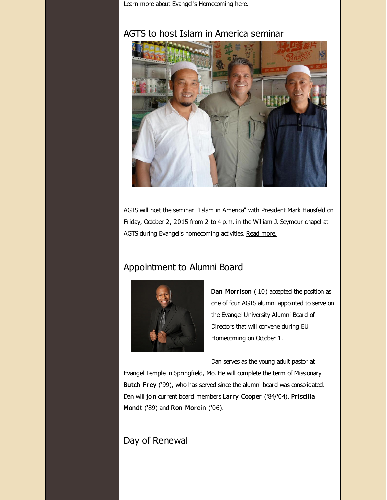Learn more about Evangel's Homecoming [here](http://r20.rs6.net/tn.jsp?f=001WRO7DRcx3YHN6-4kY7G6J4GBI8FbgDtiNnH4nC-EDLp_PIK3Tq5pcpCujZ9z2N6XZXro66CFk6ii89jxjAaGpSlrjq4Qrnyq7_84_lDNW_NjXsbNdIOCnTbUpm1hMH1MfBZFRk68zbH0pIDZXSqLUb4TJsLbNwRUMPeqWhx_D1f67WHosz2RGA==&c=&ch=).

#### AGTS to host Islam in America seminar



AGTS will host the seminar "Islam in America" with President Mark Hausfeld on Friday, October 2, 2015 from 2 to 4 p.m. in the William J. Seymour chapel at AGTS during Evangel's homecoming activities. Read [more.](http://r20.rs6.net/tn.jsp?f=001WRO7DRcx3YHN6-4kY7G6J4GBI8FbgDtiNnH4nC-EDLp_PIK3Tq5pcpCujZ9z2N6X2eBvsXrrSjuYbppmq9qq3xuKdnjCTQOdIyzBRBHAsiTrEBFoapr6SIul21EZJLv8kgI36UczETq24vDDiWlEPNSpPAVjHxlUssuQ9qSHdgBJ585KmKujA-ihc-J3L0scnrHYElwlU0FXE5jqdchEFNLQmQRFbaVwrW_hpMBKOtw=&c=&ch=)

#### Appointment to Alumni Board



Dan Morrison ('10) accepted the position as one of four AGTS alumni appointed to serve on the Evangel University Alumni Board of Directors that will convene during EU Homecoming on October 1.

Dan serves as the young adult pastor at

Evangel Temple in Springfield, Mo. He will complete the term of Missionary Butch Frey ('99), who has served since the alumni board was consolidated. Dan will join current board members Larry Cooper ('84/'04), Priscilla Mondt ('89) and Ron Morein ('06).

#### Day of Renewal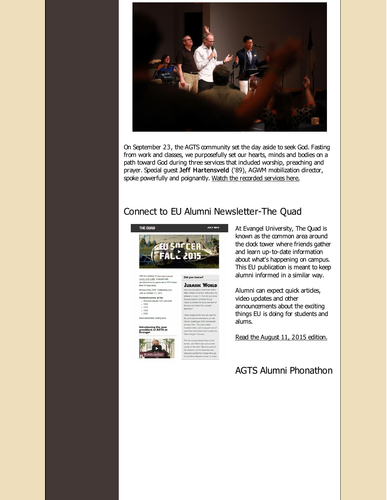

On September 23, the AGTS community set the day aside to seek God. Fasting from work and dasses, we purposefully set our hearts, minds and bodies on a path toward God during three services that induded worship, preaching and prayer. Special guest Jeff Hartensveld ('89), AGWM mobilization director, spoke powerfully and poignantly. Watch the [recorded](http://r20.rs6.net/tn.jsp?f=001WRO7DRcx3YHN6-4kY7G6J4GBI8FbgDtiNnH4nC-EDLp_PIK3Tq5pcpCujZ9z2N6XeL6vTeI_G-3mGtks28jncIjUR_5fYE-IC-Kko8Do1a5IOhBmFA-E7miVug_iCCh472BOE6ZsYb14nSnNZ2hll-955nhPz3bTZdxw-4c_p6AS45ang_k_ZFcQq94A_62qoO-VvADW8Vadbl-KB7rCpfsY9Z9Uyi9_w1r8TeOFFNc=&c=&ch=) services here.

## Connect to EU Alumni Newsletter-The Quad



coach John Griffin, Evangel's first<br>sanctioned soccer game since 1974 is less<br>than 50 days away. Homecoming 2015: Celebrating yoU<br>Join us October 1-3, 2015. Featured reunions will be:<br>All soccer players 1974 and prior

 $.1965$  $.1975$  $. 1990$  $.2005$ 

More information coming soon. Introducing the new<br>president of AGTS at<br>Evangel



**JURASSIC WORLD** Diena is credited for a key ele he look and feel of the Jurassi

ce, and Olena saw just a sma alty on the sale. Olena is printlence, as the franchise

At Evangel University, The Quad is known as the common area around the dock tower where friends gather and learn up-to-date information about what's happening on campus. This EU publication is meant to keep alumni informed in a similar way.

Alumni can expect quick artides, video updates and other announcements about the exciting things EU is doing for students and alums.

Read the [August](http://r20.rs6.net/tn.jsp?f=001WRO7DRcx3YHN6-4kY7G6J4GBI8FbgDtiNnH4nC-EDLp_PIK3Tq5pcobgkK5XC-V5HK30y_M_HX0PrgHe7nLzJYeaxq-WnLFgGoPQE8eLSSFFPkRMsse6yF3qnd2dgBc0J3wHdQJyWTHM0J2QW2S2cQMTQa-nfD3fa_N7K3qcljLlS5CqmWPxPYBY1xm-7ZDFzXejmQmymscghXpXoY1fG7aQUMlkgwTt&c=&ch=) 11, 2015 edition.

#### AGTS Alumni Phonathon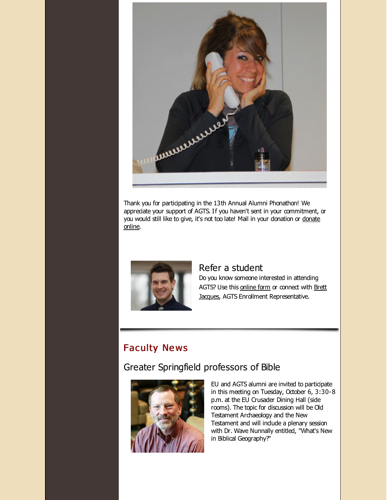

Thank you for participating in the 13th Annual Alumni Phonathon! We appreciate your support of AGTS. If you haven't sent in your commitment, or you would still like to give, it's not too late! Mail in your [donation](http://r20.rs6.net/tn.jsp?f=001WRO7DRcx3YHN6-4kY7G6J4GBI8FbgDtiNnH4nC-EDLp_PIK3Tq5pcpCujZ9z2N6X5kqgygHCVFWMn3EgbeLfKMBybF7IJ5CaGzmmXneKL2VehBKybU-sqs2vb9Dk05kUvEbzgBZSGNPEcFKjdx1HdDW_Nt5-QX89Yr0uOsymcqVMsF3brWPxei9rrbDemdwq7TWkBfrb1BfA8OcUC3rpqQ==&c=&ch=) or donate online.



#### Refer a student

Do you know someone interested in attending AGTS? Use this [online](http://r20.rs6.net/tn.jsp?f=001WRO7DRcx3YHN6-4kY7G6J4GBI8FbgDtiNnH4nC-EDLp_PIK3Tq5pclrcCXZIMKYsEWlGpDolSwmoke9-Q9HPjPvX-T0REn3U0642AlPK_eTuRhmHLCk0jjEEjWrjetact6roE-ZmRaPAfjRFiRa4d9b3vWlLcipExZpGZWTntgAy8A6cHuZM6W3iOFzcI0Ba&c=&ch=) form or connect with Brett Jacques, AGTS Enrollment [Representative.](mailto:jacquesb@evangel.edu)

#### **Faculty News**

#### Greater Springfield professors of Bible



EU and AGTS alumni are invited to participate in this meeting on Tuesday, October 6, 3:30-8 p.m. at the EU Crusader Dining Hall (side rooms). The topic for discussion will be Old Testament Archaeology and the New Testament and will indude a plenary session with Dr. Wave Nunnally entitled, "What's New in Biblical Geography?"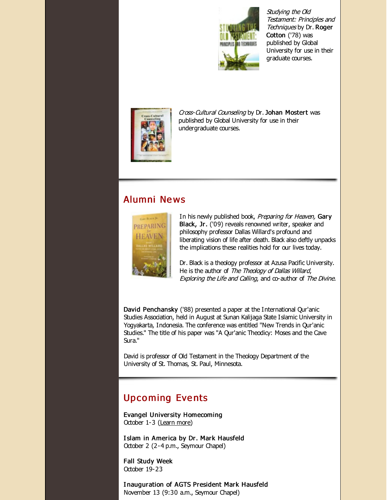

Studying the Old Testament: Principles and Techniques by Dr. Roger Cotton ('78) was published by Global University for use in their graduate courses.



Cross-Cultural Counseling by Dr. Johan Mostert was published by Global University for use in their undergraduate courses.

#### Alumni Ne ws



In his newly published book, Preparing for Heaven, Gary Black, Jr. ('09) reveals renowned writer, speaker and philosophy professor Dallas Willard's profound and liberating vision of life after death. Black also deftly unpacks the implications these realities hold for our lives today.

Dr. Black is a theology professor at Azusa Pacific University. He is the author of The Theology of Dallas Willard, Exploring the Life and Calling, and co-author of The Divine.

David Penchansky ('88) presented a paper at the International Qur'anic Studies Association, held in August at Sunan Kalijaga State Islamic University in Yogyakarta, Indonesia. The conference was entitled "New Trends in Qur'anic Studies." The title of his paper was "A Qur'anic Theodicy: Moses and the Cave Sura."

David is professor of Old Testament in the Theology Department of the University of St. Thomas, St. Paul, Minnesota.

# **Upcoming Events**

Evangel University Homecoming October 1-3 [\(Learn](http://r20.rs6.net/tn.jsp?f=001WRO7DRcx3YHN6-4kY7G6J4GBI8FbgDtiNnH4nC-EDLp_PIK3Tq5pcobgkK5XC-V54YAM5rpboxWNStsayihaLkgkaq4RK9tICNPRRTSOhD7Sa_Jh5FR1rK6NEdjP5i69lNeCmQCvEj6vsSmNvvlv8-GvM_f_x6sLIs9Cu8o-ran4zucHQgYTxiFw0epWV6vj&c=&ch=) more)

I slam in America by Dr. Mark Hausfeld October 2 (2-4 p.m., Seymour Chapel)

Fall Study Week October 19-23

I nauguration of AGTS President Mark Hausfeld November 13 (9:30 a.m., Seymour Chapel)